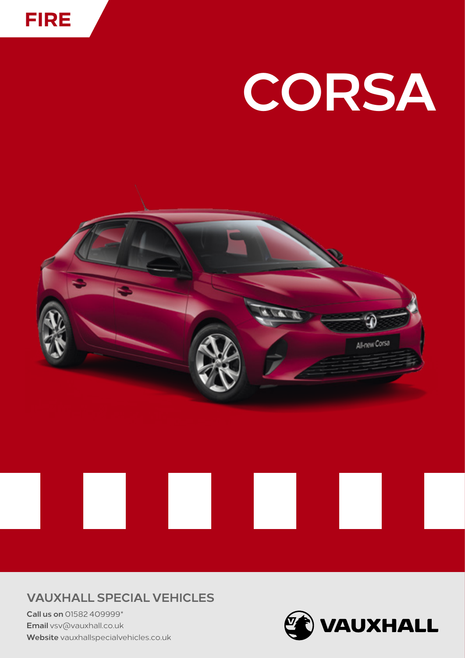

# CORSA



### **VAUXHALL SPECIAL VEHICLES**

Call us on 01582 409999\* Email vsv@vauxhall.co.uk Website vauxhallspecialvehicles.co.uk